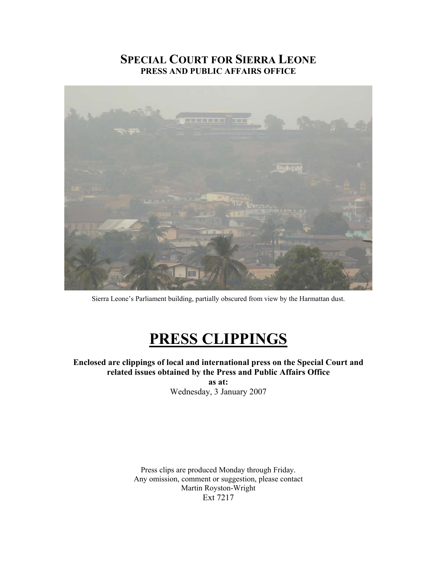## **SPECIAL COURT FOR SIERRA LEONE PRESS AND PUBLIC AFFAIRS OFFICE**



Sierra Leone's Parliament building, partially obscured from view by the Harmattan dust.

## **PRESS CLIPPINGS**

## **Enclosed are clippings of local and international press on the Special Court and related issues obtained by the Press and Public Affairs Office**

**as at:**  Wednesday, 3 January 2007

Press clips are produced Monday through Friday. Any omission, comment or suggestion, please contact Martin Royston-Wright Ext 7217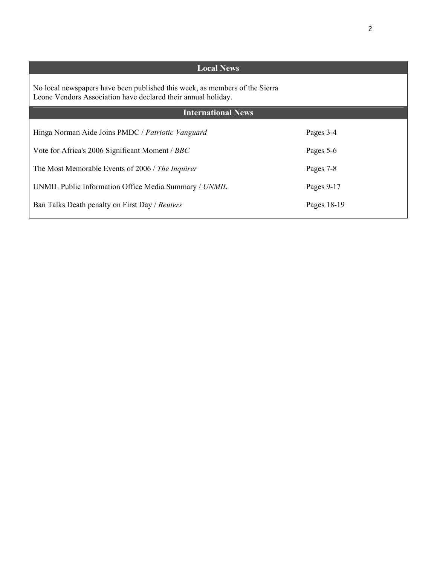| <b>Local News</b>                                                                                                                            |             |
|----------------------------------------------------------------------------------------------------------------------------------------------|-------------|
| No local newspapers have been published this week, as members of the Sierra<br>Leone Vendors Association have declared their annual holiday. |             |
| <b>International News</b>                                                                                                                    |             |
| Hinga Norman Aide Joins PMDC / Patriotic Vanguard                                                                                            | Pages 3-4   |
| Vote for Africa's 2006 Significant Moment / BBC                                                                                              | Pages 5-6   |
| The Most Memorable Events of 2006 / The Inquirer                                                                                             | Pages 7-8   |
| UNMIL Public Information Office Media Summary / UNMIL                                                                                        | Pages 9-17  |
| Ban Talks Death penalty on First Day / Reuters                                                                                               | Pages 18-19 |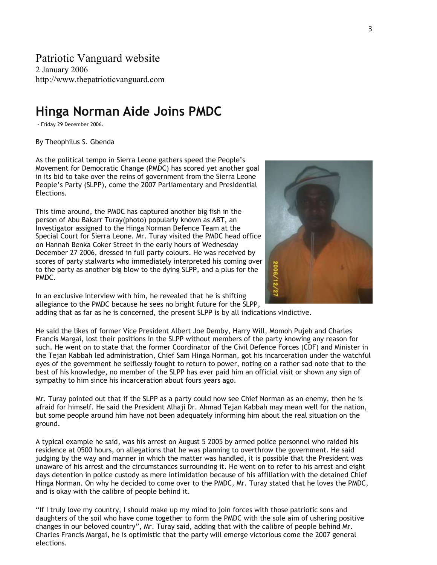Patriotic Vanguard website

2 January 2006 http://www.thepatrioticvanguard.com

## **Hinga Norman Aide Joins PMDC**

- Friday 29 December 2006.

By Theophilus S. Gbenda

As the political tempo in Sierra Leone gathers speed the People's Movement for Democratic Change (PMDC) has scored yet another goal in its bid to take over the reins of government from the Sierra Leone People's Party (SLPP), come the 2007 Parliamentary and Presidential Elections.

This time around, the PMDC has captured another big fish in the person of Abu Bakarr Turay(photo) popularly known as ABT, an Investigator assigned to the Hinga Norman Defence Team at the Special Court for Sierra Leone. Mr. Turay visited the PMDC head office on Hannah Benka Coker Street in the early hours of Wednesday December 27 2006, dressed in full party colours. He was received by scores of party stalwarts who immediately interpreted his coming over to the party as another big blow to the dying SLPP, and a plus for the PMDC.



In an exclusive interview with him, he revealed that he is shifting allegiance to the PMDC because he sees no bright future for the SLPP,

adding that as far as he is concerned, the present SLPP is by all indications vindictive.

He said the likes of former Vice President Albert Joe Demby, Harry Will, Momoh Pujeh and Charles Francis Margai, lost their positions in the SLPP without members of the party knowing any reason for such. He went on to state that the former Coordinator of the Civil Defence Forces (CDF) and Minister in the Tejan Kabbah led administration, Chief Sam Hinga Norman, got his incarceration under the watchful eyes of the government he selflessly fought to return to power, noting on a rather sad note that to the best of his knowledge, no member of the SLPP has ever paid him an official visit or shown any sign of sympathy to him since his incarceration about fours years ago.

Mr. Turay pointed out that if the SLPP as a party could now see Chief Norman as an enemy, then he is afraid for himself. He said the President Alhaji Dr. Ahmad Tejan Kabbah may mean well for the nation, but some people around him have not been adequately informing him about the real situation on the ground.

A typical example he said, was his arrest on August 5 2005 by armed police personnel who raided his residence at 0500 hours, on allegations that he was planning to overthrow the government. He said judging by the way and manner in which the matter was handled, it is possible that the President was unaware of his arrest and the circumstances surrounding it. He went on to refer to his arrest and eight days detention in police custody as mere intimidation because of his affiliation with the detained Chief Hinga Norman. On why he decided to come over to the PMDC, Mr. Turay stated that he loves the PMDC, and is okay with the calibre of people behind it.

"If I truly love my country, I should make up my mind to join forces with those patriotic sons and daughters of the soil who have come together to form the PMDC with the sole aim of ushering positive changes in our beloved country", Mr. Turay said, adding that with the calibre of people behind Mr. Charles Francis Margai, he is optimistic that the party will emerge victorious come the 2007 general elections.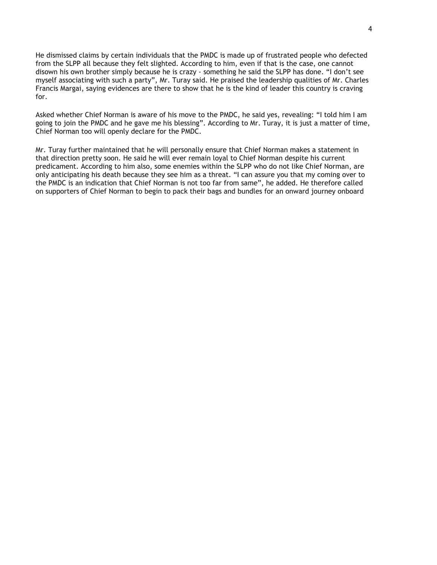He dismissed claims by certain individuals that the PMDC is made up of frustrated people who defected from the SLPP all because they felt slighted. According to him, even if that is the case, one cannot disown his own brother simply because he is crazy - something he said the SLPP has done. "I don't see myself associating with such a party", Mr. Turay said. He praised the leadership qualities of Mr. Charles Francis Margai, saying evidences are there to show that he is the kind of leader this country is craving for.

Asked whether Chief Norman is aware of his move to the PMDC, he said yes, revealing: "I told him I am going to join the PMDC and he gave me his blessing". According to Mr. Turay, it is just a matter of time, Chief Norman too will openly declare for the PMDC.

Mr. Turay further maintained that he will personally ensure that Chief Norman makes a statement in that direction pretty soon. He said he will ever remain loyal to Chief Norman despite his current predicament. According to him also, some enemies within the SLPP who do not like Chief Norman, are only anticipating his death because they see him as a threat. "I can assure you that my coming over to the PMDC is an indication that Chief Norman is not too far from same", he added. He therefore called on supporters of Chief Norman to begin to pack their bags and bundles for an onward journey onboard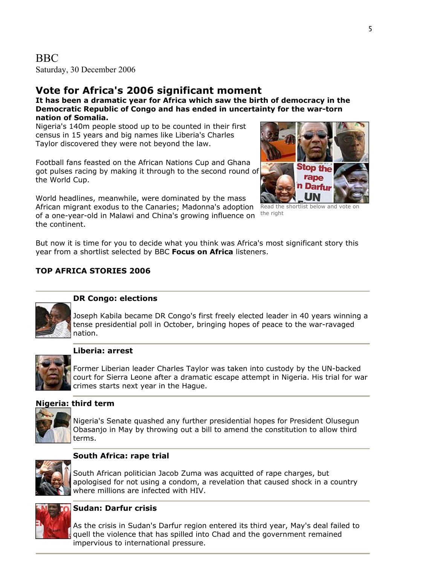Saturday, 30 December 2006

## **Vote for Africa's 2006 significant moment**

**It has been a dramatic year for Africa which saw the birth of democracy in the Democratic Republic of Congo and has ended in uncertainty for the war-torn nation of Somalia.**

Nigeria's 140m people stood up to be counted in their first census in 15 years and big names like Liberia's Charles Taylor discovered they were not beyond the law.

Football fans feasted on the African Nations Cup and Ghana got pulses racing by making it through to the second round of the World Cup.

World headlines, meanwhile, were dominated by the mass African migrant exodus to the Canaries; Madonna's adoption of a one-year-old in Malawi and China's growing influence on the continent.



Read the shortlist below and vote on the right

But now it is time for you to decide what you think was Africa's most significant story this year from a shortlist selected by BBC **Focus on Africa** listeners.

## **TOP AFRICA STORIES 2006**



## **DR Congo: elections**

Joseph Kabila became DR Congo's first freely elected leader in 40 years winning a tense presidential poll in October, bringing hopes of peace to the war-ravaged nation.



### **Liberia: arrest**

Former Liberian leader Charles Taylor was taken into custody by the UN-backed court for Sierra Leone after a dramatic escape attempt in Nigeria. His trial for war crimes starts next year in the Hague.

## **Nigeria: third term**



Nigeria's Senate quashed any further presidential hopes for President Olusegun Obasanjo in May by throwing out a bill to amend the constitution to allow third terms.



## **South Africa: rape trial**

South African politician Jacob Zuma was acquitted of rape charges, but apologised for not using a condom, a revelation that caused shock in a country where millions are infected with HIV.



## **Sudan: Darfur crisis**

As the crisis in Sudan's Darfur region entered its third year, May's deal failed to quell the violence that has spilled into Chad and the government remained impervious to international pressure.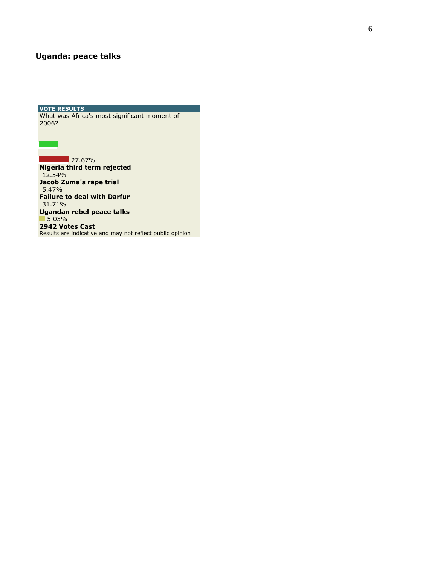## **Uganda: peace talks**

**VOTE RESULTS**  What was Africa's most significant moment of 2006?

**27.67%** 

**Nigeria third term rejected**  $12.54%$ **Jacob Zuma's rape trial**  5.47% **Failure to d eal with Darfur** 31.71% **Ugandan rebel peace talks**  5.03% **2942 Votes Cast** Results are indicative and may not reflect public opinion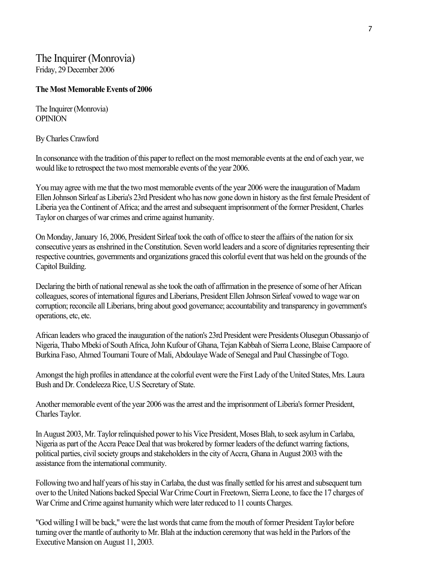## The Inquirer (Monrovia) Friday, 29 December 2006

### **The Most Memorable Events of 2006**

The Inquirer (Monrovia) **OPINION** 

By Charles Crawford

In consonance with the tradition of this paper to reflect on the most memorable events at the end of each year, we would like to retrospect the two most memorable events of the year 2006.

You may agree with me that the two most memorable events of the year 2006 were the inauguration of Madam Ellen Johnson Sirleaf as Liberia's 23rd President who has now gone down in history as the first female President of Liberia yea the Continent of Africa; and the arrest and subsequent imprisonment of the former President, Charles Taylor on charges of war crimes and crime against humanity.

On Monday, January 16, 2006, President Sirleaf took the oath of office to steer the affairs of the nation for six consecutive years as enshrined in the Constitution. Seven world leaders and a score of dignitaries representing their respective countries, governments and organizations graced this colorful event that was held on the grounds of the Capitol Building.

Declaring the birth of national renewal as she took the oath of affirmation in the presence of some of her African colleagues, scores of international figures and Liberians, President Ellen Johnson Sirleaf vowed to wage war on corruption; reconcile all Liberians, bring about good governance; accountability and transparency in government's operations, etc, etc.

African leaders who graced the inauguration of the nation's 23rd President were Presidents Olusegun Obassanjo of Nigeria, Thabo Mbeki of South Africa, John Kufour of Ghana, Tejan Kabbah of Sierra Leone, Blaise Campaore of Burkina Faso, Ahmed Toumani Toure of Mali, Abdoulaye Wade of Senegal and Paul Chassingbe of Togo.

Amongst the high profiles in attendance at the colorful event were the First Lady of the United States, Mrs. Laura Bush and Dr. Condeleeza Rice, U.S Secretary of State.

Another memorable event of the year 2006 was the arrest and the imprisonment of Liberia's former President, Charles Taylor.

In August 2003, Mr. Taylor relinquished power to his Vice President, Moses Blah, to seek asylum in Carlaba, Nigeria as part of the Accra Peace Deal that was brokered by former leaders of the defunct warring factions, political parties, civil society groups and stakeholders in the city of Accra, Ghana in August 2003 with the assistance from the international community.

Following two and half years of his stay in Carlaba, the dust was finally settled for his arrest and subsequent turn over to the United Nations backed Special War Crime Court in Freetown, Sierra Leone, to face the 17 charges of War Crime and Crime against humanity which were later reduced to 11 counts Charges.

"God willing I will be back," were the last words that came from the mouth of former President Taylor before turning over the mantle of authority to Mr. Blah at the induction ceremony that was held in the Parlors of the Executive Mansion on August 11, 2003.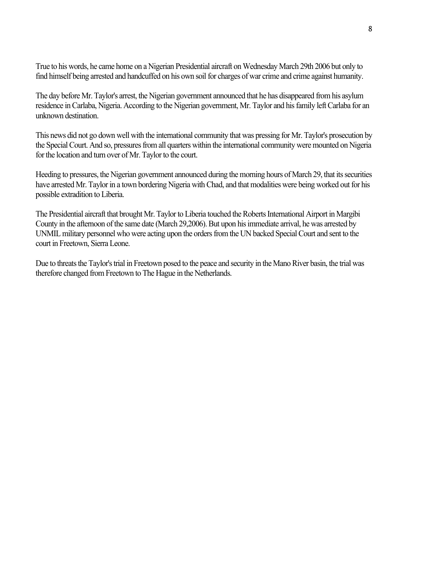True to his words, he came home on a Nigerian Presidential aircraft on Wednesday March 29th 2006 but only to find himself being arrested and handcuffed on his own soil for charges of war crime and crime against humanity.

The day before Mr. Taylor's arrest, the Nigerian government announced that he has disappeared from his asylum residence in Carlaba, Nigeria. According to the Nigerian government, Mr. Taylor and his family left Carlaba for an unknown destination.

This news did not go down well with the international community that was pressing for Mr. Taylor's prosecution by the Special Court. And so, pressures from all quarters within the international community were mounted on Nigeria for the location and turn over of Mr. Taylor to the court.

Heeding to pressures, the Nigerian government announced during the morning hours of March 29, that its securities have arrested Mr. Taylor in a town bordering Nigeria with Chad, and that modalities were being worked out for his possible extradition to Liberia.

The Presidential aircraft that brought Mr. Taylor to Liberia touched the Roberts International Airport in Margibi County in the afternoon of the same date (March 29,2006). But upon his immediate arrival, he was arrested by UNMIL military personnel who were acting upon the orders from the UN backed Special Court and sent to the court in Freetown, Sierra Leone.

Due to threats the Taylor's trial in Freetown posed to the peace and security in the Mano River basin, the trial was therefore changed from Freetown to The Hague in the Netherlands.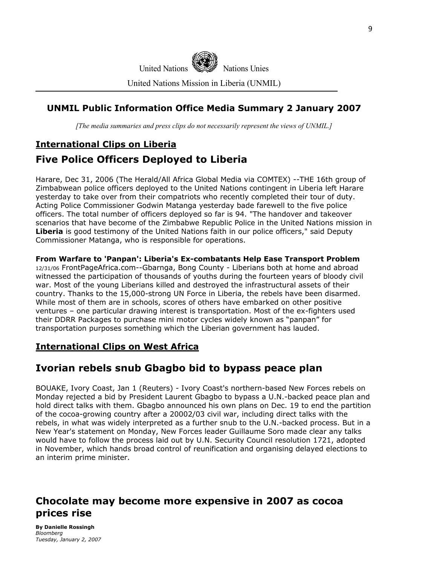

United Nations Mission in Liberia (UNMIL)

## **UNMIL Public Information Office Media Summary 2 January 2007**

*[The media summaries and press clips do not necessarily represent the views of UNMIL.]*

## **International Clips on Liberia**

## **Five Police Officers Deployed to Liberia**

Harare, Dec 31, 2006 (The Herald/All Africa Global Media via COMTEX) --THE 16th group of Zimbabwean police officers deployed to the United Nations contingent in Liberia left Harare yesterday to take over from their compatriots who recently completed their tour of duty. Acting Police Commissioner Godwin Matanga yesterday bade farewell to the five police officers. The total number of officers deployed so far is 94. "The handover and takeover scenarios that have become of the Zimbabwe Republic Police in the United Nations mission in **Liberia** is good testimony of the United Nations faith in our police officers," said Deputy Commissioner Matanga, who is responsible for operations.

#### **From Warfare to 'Panpan': Liberia's Ex-combatants Help Ease Transport Problem** 12/31/06 FrontPageAfrica.com--Gbarnga, Bong County - Liberians both at home and abroad witnessed the participation of thousands of youths during the fourteen years of bloody civil war. Most of the young Liberians killed and destroyed the infrastructural assets of their country. Thanks to the 15,000-strong UN Force in Liberia, the rebels have been disarmed. While most of them are in schools, scores of others have embarked on other positive ventures – one particular drawing interest is transportation. Most of the ex-fighters used their DDRR Packages to purchase mini motor cycles widely known as "panpan" for

transportation purposes something which the Liberian government has lauded.

## **International Clips on West Africa**

## **Ivorian rebels snub Gbagbo bid to bypass peace plan**

BOUAKE, Ivory Coast, Jan 1 (Reuters) - Ivory Coast's northern-based New Forces rebels on Monday rejected a bid by President Laurent Gbagbo to bypass a U.N.-backed peace plan and hold direct talks with them. Gbagbo announced his own plans on Dec. 19 to end the partition of the cocoa-growing country after a 20002/03 civil war, including direct talks with the rebels, in what was widely interpreted as a further snub to the U.N.-backed process. But in a New Year's statement on Monday, New Forces leader Guillaume Soro made clear any talks would have to follow the process laid out by U.N. Security Council resolution 1721, adopted in November, which hands broad control of reunification and organising delayed elections to an interim prime minister.

## **Chocolate may become more expensive in 2007 as cocoa prices rise**

**By Danielle Rossingh**  *Bloomberg Tuesday, January 2, 2007*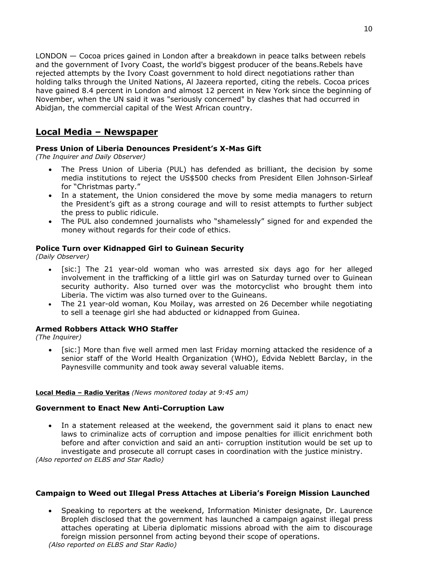LONDON — Cocoa prices gained in London after a breakdown in peace talks between rebels and the government of Ivory Coast, the world's biggest producer of the beans.Rebels have rejected attempts by the Ivory Coast government to hold direct negotiations rather than holding talks through the United Nations, Al Jazeera reported, citing the rebels. Cocoa prices have gained 8.4 percent in London and almost 12 percent in New York since the beginning of November, when the UN said it was "seriously concerned" by clashes that had occurred in Abidjan, the commercial capital of the West African country.

## **Local Media – Newspaper**

#### **Press Union of Liberia Denounces President's X-Mas Gift**

*(The Inquirer and Daily Observer)* 

- The Press Union of Liberia (PUL) has defended as brilliant, the decision by some media institutions to reject the US\$500 checks from President Ellen Johnson-Sirleaf for "Christmas party."
- In a statement, the Union considered the move by some media managers to return the President's gift as a strong courage and will to resist attempts to further subject the press to public ridicule.
- The PUL also condemned journalists who "shamelessly" signed for and expended the money without regards for their code of ethics.

#### **Police Turn over Kidnapped Girl to Guinean Security**

*(Daily Observer)* 

- [sic:] The 21 year-old woman who was arrested six days ago for her alleged involvement in the trafficking of a little girl was on Saturday turned over to Guinean security authority. Also turned over was the motorcyclist who brought them into Liberia. The victim was also turned over to the Guineans.
- The 21 year-old woman, Kou Moilay, was arrested on 26 December while negotiating to sell a teenage girl she had abducted or kidnapped from Guinea.

### **Armed Robbers Attack WHO Staffer**

*(The Inquirer)*

• [sic:] More than five well armed men last Friday morning attacked the residence of a senior staff of the World Health Organization (WHO), Edvida Neblett Barclay, in the Paynesville community and took away several valuable items.

#### **Local Media – Radio Veritas** *(News monitored today at 9:45 am)*

#### **Government to Enact New Anti-Corruption Law**

• In a statement released at the weekend, the government said it plans to enact new laws to criminalize acts of corruption and impose penalties for illicit enrichment both before and after conviction and said an anti- corruption institution would be set up to investigate and prosecute all corrupt cases in coordination with the justice ministry.

*(Also reported on ELBS and Star Radio)* 

#### **Campaign to Weed out Illegal Press Attaches at Liberia's Foreign Mission Launched**

• Speaking to reporters at the weekend, Information Minister designate, Dr. Laurence Bropleh disclosed that the government has launched a campaign against illegal press attaches operating at Liberia diplomatic missions abroad with the aim to discourage foreign mission personnel from acting beyond their scope of operations. *(Also reported on ELBS and Star Radio)*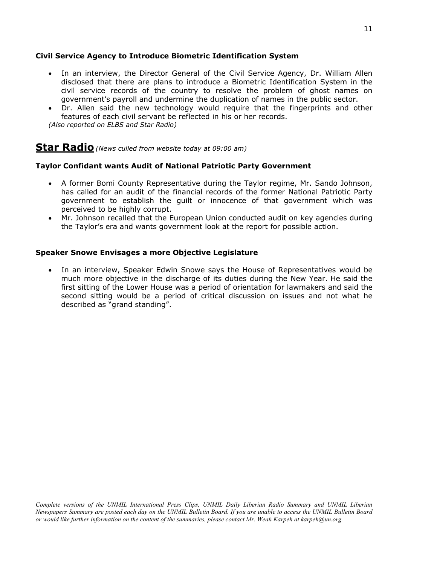#### **Civil Service Agency to Introduce Biometric Identification System**

- In an interview, the Director General of the Civil Service Agency, Dr. William Allen disclosed that there are plans to introduce a Biometric Identification System in the civil service records of the country to resolve the problem of ghost names on government's payroll and undermine the duplication of names in the public sector.
- Dr. Allen said the new technology would require that the fingerprints and other features of each civil servant be reflected in his or her records.

*(Also reported on ELBS and Star Radio)*

## **Star Radio***(News culled from website today at 09:00 am)*

#### **Taylor Confidant wants Audit of National Patriotic Party Government**

- A former Bomi County Representative during the Taylor regime, Mr. Sando Johnson, has called for an audit of the financial records of the former National Patriotic Party government to establish the guilt or innocence of that government which was perceived to be highly corrupt.
- Mr. Johnson recalled that the European Union conducted audit on key agencies during the Taylor's era and wants government look at the report for possible action.

#### **Speaker Snowe Envisages a more Objective Legislature**

• In an interview, Speaker Edwin Snowe says the House of Representatives would be much more objective in the discharge of its duties during the New Year. He said the first sitting of the Lower House was a period of orientation for lawmakers and said the second sitting would be a period of critical discussion on issues and not what he described as "grand standing".

*Complete versions of the UNMIL International Press Clips, UNMIL Daily Liberian Radio Summary and UNMIL Liberian Newspapers Summary are posted each day on the UNMIL Bulletin Board. If you are unable to access the UNMIL Bulletin Board or would like further information on the content of the summaries, please contact Mr. Weah Karpeh at karpeh@un.org.*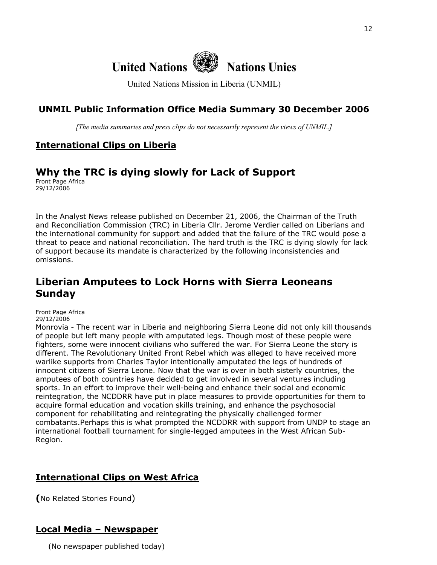# **United Nations Nations Unies**

United Nations Mission in Liberia (UNMIL)

## **UNMIL Public Information Office Media Summary 30 December 2006**

*[The media summaries and press clips do not necessarily represent the views of UNMIL.]*

## **International Clips on Liberia**

## **Why the TRC is dying slowly for Lack of Support**

Front Page Africa 29/12/2006

In the Analyst News release published on December 21, 2006, the Chairman of the Truth and Reconciliation Commission (TRC) in Liberia Cllr. Jerome Verdier called on Liberians and the international community for support and added that the failure of the TRC would pose a threat to peace and national reconciliation. The hard truth is the TRC is dying slowly for lack of support because its mandate is characterized by the following inconsistencies and omissions.

## **Liberian Amputees to Lock Horns with Sierra Leoneans Sunday**

Front Page Africa 29/12/2006

Monrovia - The recent war in Liberia and neighboring Sierra Leone did not only kill thousands of people but left many people with amputated legs. Though most of these people were fighters, some were innocent civilians who suffered the war. For Sierra Leone the story is different. The Revolutionary United Front Rebel which was alleged to have received more warlike supports from Charles Taylor intentionally amputated the legs of hundreds of innocent citizens of Sierra Leone. Now that the war is over in both sisterly countries, the amputees of both countries have decided to get involved in several ventures including sports. In an effort to improve their well-being and enhance their social and economic reintegration, the NCDDRR have put in place measures to provide opportunities for them to acquire formal education and vocation skills training, and enhance the psychosocial component for rehabilitating and reintegrating the physically challenged former combatants.Perhaps this is what prompted the NCDDRR with support from UNDP to stage an international football tournament for single-legged amputees in the West African Sub-Region.

## **International Clips on West Africa**

**(**No Related Stories Found)

## **Local Media – Newspaper**

(No newspaper published today)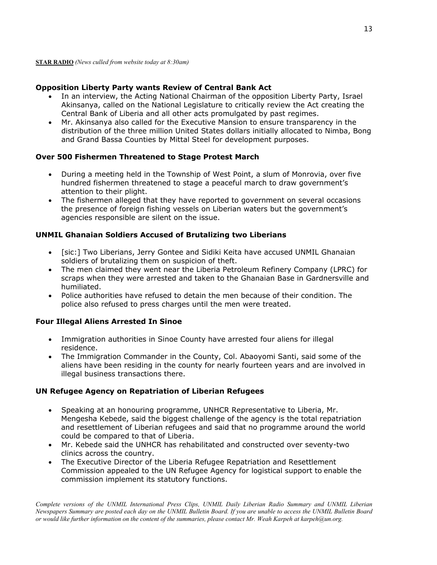#### **Opposition Liberty Party wants Review of Central Bank Act**

- In an interview, the Acting National Chairman of the opposition Liberty Party, Israel Akinsanya, called on the National Legislature to critically review the Act creating the Central Bank of Liberia and all other acts promulgated by past regimes.
- Mr. Akinsanya also called for the Executive Mansion to ensure transparency in the distribution of the three million United States dollars initially allocated to Nimba, Bong and Grand Bassa Counties by Mittal Steel for development purposes.

### **Over 500 Fishermen Threatened to Stage Protest March**

- During a meeting held in the Township of West Point, a slum of Monrovia, over five hundred fishermen threatened to stage a peaceful march to draw government's attention to their plight.
- The fishermen alleged that they have reported to government on several occasions the presence of foreign fishing vessels on Liberian waters but the government's agencies responsible are silent on the issue.

#### **UNMIL Ghanaian Soldiers Accused of Brutalizing two Liberians**

- [sic:] Two Liberians, Jerry Gontee and Sidiki Keita have accused UNMIL Ghanaian soldiers of brutalizing them on suspicion of theft.
- The men claimed they went near the Liberia Petroleum Refinery Company (LPRC) for scraps when they were arrested and taken to the Ghanaian Base in Gardnersville and humiliated.
- Police authorities have refused to detain the men because of their condition. The police also refused to press charges until the men were treated.

### **Four Illegal Aliens Arrested In Sinoe**

- Immigration authorities in Sinoe County have arrested four aliens for illegal residence.
- The Immigration Commander in the County, Col. Abaoyomi Santi, said some of the aliens have been residing in the county for nearly fourteen years and are involved in illegal business transactions there.

### **UN Refugee Agency on Repatriation of Liberian Refugees**

- Speaking at an honouring programme, UNHCR Representative to Liberia, Mr. Mengesha Kebede, said the biggest challenge of the agency is the total repatriation and resettlement of Liberian refugees and said that no programme around the world could be compared to that of Liberia.
- Mr. Kebede said the UNHCR has rehabilitated and constructed over seventy-two clinics across the country.
- The Executive Director of the Liberia Refugee Repatriation and Resettlement Commission appealed to the UN Refugee Agency for logistical support to enable the commission implement its statutory functions.

*Complete versions of the UNMIL International Press Clips, UNMIL Daily Liberian Radio Summary and UNMIL Liberian Newspapers Summary are posted each day on the UNMIL Bulletin Board. If you are unable to access the UNMIL Bulletin Board or would like further information on the content of the summaries, please contact Mr. Weah Karpeh at karpeh@un.org.*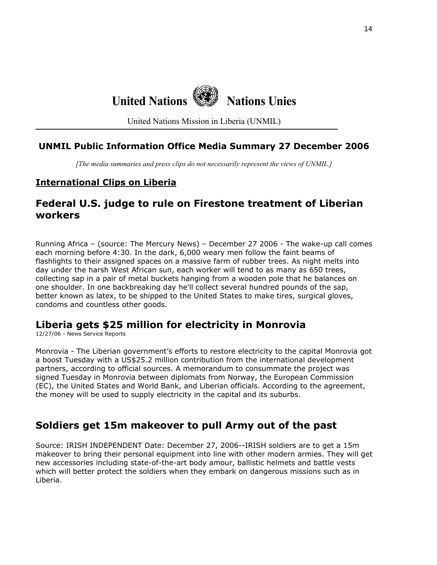# **United Nations Nations Unies**

United Nations Mission in Liberia (UNMIL)

## **UNMIL Public Information Office Media Summary 27 December 2006**

*[The media summaries and press clips do not necessarily represent the views of UNMIL.]*

## **International Clips on Liberia**

## **Federal U.S. judge to rule on Firestone treatment of Liberian workers**

Running Africa – (source: The Mercury News) – December 27 2006 - The wake-up call comes each morning before 4:30. In the dark, 6,000 weary men follow the faint beams of flashlights to their assigned spaces on a massive farm of rubber trees. As night melts into day under the harsh West African sun, each worker will tend to as many as 650 trees, collecting sap in a pair of metal buckets hanging from a wooden pole that he balances on one shoulder. In one backbreaking day he'll collect several hundred pounds of the sap, better known as latex, to be shipped to the United States to make tires, surgical gloves, condoms and countless other goods.

## **Liberia gets \$25 million for electricity in Monrovia**

12/27/06 - News Service Reports

Monrovia - The Liberian government's efforts to restore electricity to the capital Monrovia got a boost Tuesday with a US\$25.2 million contribution from the international development partners, according to official sources. A memorandum to consummate the project was signed Tuesday in Monrovia between diplomats from Norway, the European Commission (EC), the United States and World Bank, and Liberian officials. According to the agreement, the money will be used to supply electricity in the capital and its suburbs.

## **Soldiers get 15m makeover to pull Army out of the past**

Source: IRISH INDEPENDENT Date: December 27, 2006--IRISH soldiers are to get a 15m makeover to bring their personal equipment into line with other modern armies. They will get new accessories including state-of-the-art body amour, ballistic helmets and battle vests which will better protect the soldiers when they embark on dangerous missions such as in Liberia.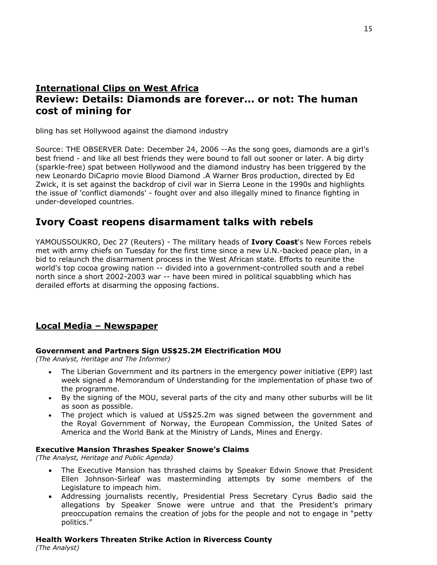## **International Clips on West Africa Review: Details: Diamonds are forever... or not: The human cost of mining for**

bling has set Hollywood against the diamond industry

Source: THE OBSERVER Date: December 24, 2006 --As the song goes, diamonds are a girl's best friend - and like all best friends they were bound to fall out sooner or later. A big dirty (sparkle-free) spat between Hollywood and the diamond industry has been triggered by the new Leonardo DiCaprio movie Blood Diamond .A Warner Bros production, directed by Ed Zwick, it is set against the backdrop of civil war in Sierra Leone in the 1990s and highlights the issue of 'conflict diamonds' - fought over and also illegally mined to finance fighting in under-developed countries.

## **Ivory Coast reopens disarmament talks with rebels**

YAMOUSSOUKRO, Dec 27 (Reuters) - The military heads of **Ivory Coast**'s New Forces rebels met with army chiefs on Tuesday for the first time since a new U.N.-backed peace plan, in a bid to relaunch the disarmament process in the West African state. Efforts to reunite the world's top cocoa growing nation -- divided into a government-controlled south and a rebel north since a short 2002-2003 war -- have been mired in political squabbling which has derailed efforts at disarming the opposing factions.

## **Local Media – Newspaper**

### **Government and Partners Sign US\$25.2M Electrification MOU**

*(The Analyst, Heritage and The Informer)*

- The Liberian Government and its partners in the emergency power initiative (EPP) last week signed a Memorandum of Understanding for the implementation of phase two of the programme.
- By the signing of the MOU, several parts of the city and many other suburbs will be lit as soon as possible.
- The project which is valued at US\$25.2m was signed between the government and the Royal Government of Norway, the European Commission, the United Sates of America and the World Bank at the Ministry of Lands, Mines and Energy.

#### **Executive Mansion Thrashes Speaker Snowe's Claims**

*(The Analyst, Heritage and Public Agenda)* 

- The Executive Mansion has thrashed claims by Speaker Edwin Snowe that President Ellen Johnson-Sirleaf was masterminding attempts by some members of the Legislature to impeach him.
- Addressing journalists recently, Presidential Press Secretary Cyrus Badio said the allegations by Speaker Snowe were untrue and that the President's primary preoccupation remains the creation of jobs for the people and not to engage in "petty politics."

## **Health Workers Threaten Strike Action in Rivercess County**

*(The Analyst)*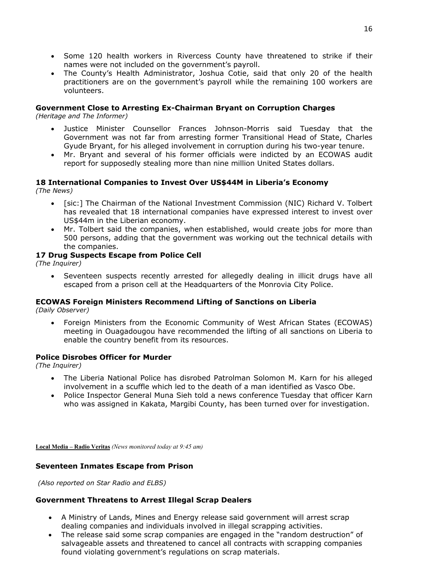- Some 120 health workers in Rivercess County have threatened to strike if their names were not included on the government's payroll.
- The County's Health Administrator, Joshua Cotie, said that only 20 of the health practitioners are on the government's payroll while the remaining 100 workers are volunteers.

#### **Government Close to Arresting Ex-Chairman Bryant on Corruption Charges**

*(Heritage and The Informer)* 

- Justice Minister Counsellor Frances Johnson-Morris said Tuesday that the Government was not far from arresting former Transitional Head of State, Charles Gyude Bryant, for his alleged involvement in corruption during his two-year tenure.
- Mr. Bryant and several of his former officials were indicted by an ECOWAS audit report for supposedly stealing more than nine million United States dollars.

## **18 International Companies to Invest Over US\$44M in Liberia's Economy**

*(The News)* 

- [sic:] The Chairman of the National Investment Commission (NIC) Richard V. Tolbert has revealed that 18 international companies have expressed interest to invest over US\$44m in the Liberian economy.
- Mr. Tolbert said the companies, when established, would create jobs for more than 500 persons, adding that the government was working out the technical details with the companies.

#### **17 Drug Suspects Escape from Police Cell**

*(The Inquirer)* 

• Seventeen suspects recently arrested for allegedly dealing in illicit drugs have all escaped from a prison cell at the Headquarters of the Monrovia City Police.

#### **ECOWAS Foreign Ministers Recommend Lifting of Sanctions on Liberia**

*(Daily Observer)* 

• Foreign Ministers from the Economic Community of West African States (ECOWAS) meeting in Ouagadougou have recommended the lifting of all sanctions on Liberia to enable the country benefit from its resources.

#### **Police Disrobes Officer for Murder**

*(The Inquirer)* 

- The Liberia National Police has disrobed Patrolman Solomon M. Karn for his alleged involvement in a scuffle which led to the death of a man identified as Vasco Obe.
- Police Inspector General Muna Sieh told a news conference Tuesday that officer Karn who was assigned in Kakata, Margibi County, has been turned over for investigation.

**Local Media – Radio Veritas** *(News monitored today at 9:45 am)* 

#### **Seventeen Inmates Escape from Prison**

 *(Also reported on Star Radio and ELBS)*

### **Government Threatens to Arrest Illegal Scrap Dealers**

- A Ministry of Lands, Mines and Energy release said government will arrest scrap dealing companies and individuals involved in illegal scrapping activities.
- The release said some scrap companies are engaged in the "random destruction" of salvageable assets and threatened to cancel all contracts with scrapping companies found violating government's regulations on scrap materials.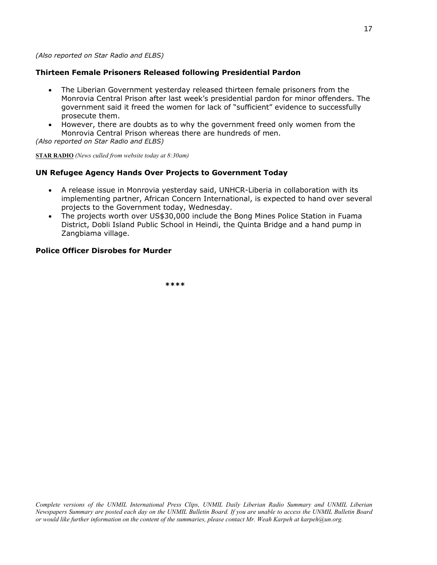#### *(Also reported on Star Radio and ELBS)*

#### **Thirteen Female Prisoners Released following Presidential Pardon**

- The Liberian Government yesterday released thirteen female prisoners from the Monrovia Central Prison after last week's presidential pardon for minor offenders. The government said it freed the women for lack of "sufficient" evidence to successfully prosecute them.
- However, there are doubts as to why the government freed only women from the Monrovia Central Prison whereas there are hundreds of men.

*(Also reported on Star Radio and ELBS)*

**STAR RADIO** *(News culled from website today at 8:30am)*

#### **UN Refugee Agency Hands Over Projects to Government Today**

- A release issue in Monrovia yesterday said, UNHCR-Liberia in collaboration with its implementing partner, African Concern International, is expected to hand over several projects to the Government today, Wednesday.
- The projects worth over US\$30,000 include the Bong Mines Police Station in Fuama District, Dobli Island Public School in Heindi, the Quinta Bridge and a hand pump in Zangbiama village.

#### **Police Officer Disrobes for Murder**

 **\*\*\*\***

*Complete versions of the UNMIL International Press Clips, UNMIL Daily Liberian Radio Summary and UNMIL Liberian Newspapers Summary are posted each day on the UNMIL Bulletin Board. If you are unable to access the UNMIL Bulletin Board or would like further information on the content of the summaries, please contact Mr. Weah Karpeh at karpeh@un.org.*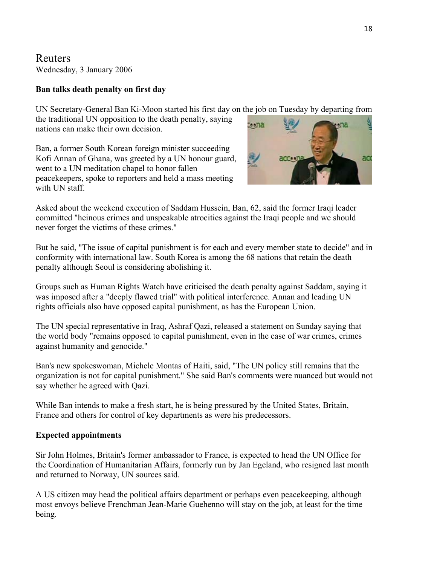Reuters Wednesday, 3 January 2006

## **Ban talks death penalty on first day**

UN Secretary-General Ban Ki-Moon started his first day on the job on Tuesday by departing from

the traditional UN opposition to the death penalty, saying nations can make their own decision.

Ban, a former South Korean foreign minister succeeding Kofi Annan of Ghana, was greeted by a UN honour guard, went to a UN meditation chapel to honor fallen peacekeepers, spoke to reporters and held a mass meeting with UN staff.



Asked about the weekend execution of Saddam Hussein, Ban, 62, said the former Iraqi leader committed "heinous crimes and unspeakable atrocities against the Iraqi people and we should never forget the victims of these crimes."

But he said, "The issue of capital punishment is for each and every member state to decide" and in conformity with international law. South Korea is among the 68 nations that retain the death penalty although Seoul is considering abolishing it.

Groups such as Human Rights Watch have criticised the death penalty against Saddam, saying it was imposed after a "deeply flawed trial" with political interference. Annan and leading UN rights officials also have opposed capital punishment, as has the European Union.

The UN special representative in Iraq, Ashraf Qazi, released a statement on Sunday saying that the world body "remains opposed to capital punishment, even in the case of war crimes, crimes against humanity and genocide."

Ban's new spokeswoman, Michele Montas of Haiti, said, "The UN policy still remains that the organization is not for capital punishment." She said Ban's comments were nuanced but would not say whether he agreed with Qazi.

While Ban intends to make a fresh start, he is being pressured by the United States, Britain, France and others for control of key departments as were his predecessors.

## **Expected appointments**

Sir John Holmes, Britain's former ambassador to France, is expected to head the UN Office for the Coordination of Humanitarian Affairs, formerly run by Jan Egeland, who resigned last month and returned to Norway, UN sources said.

A US citizen may head the political affairs department or perhaps even peacekeeping, although most envoys believe Frenchman Jean-Marie Guehenno will stay on the job, at least for the time being.